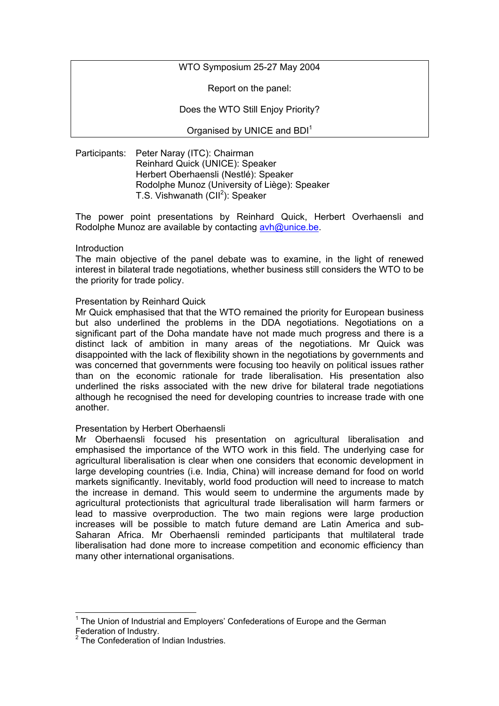WTO Symposium 25-27 May 2004

Report on the panel:

Does the WTO Still Enjoy Priority?

Organised by UNICE and BDI<sup>[1](#page-0-0)</sup>

Participants: Peter Naray (ITC): Chairman Reinhard Quick (UNICE): Speaker Herbert Oberhaensli (Nestlé): Speaker Rodolphe Munoz (University of Liège): Speaker T.S. Vishwanath (CII<sup>[2](#page-0-1)</sup>): Speaker

The power point presentations by Reinhard Quick, Herbert Overhaensli and Rodolphe Munoz are available by contacting [avh@unice.be](mailto:avh@unice.be).

# **Introduction**

The main objective of the panel debate was to examine, in the light of renewed interest in bilateral trade negotiations, whether business still considers the WTO to be the priority for trade policy.

# Presentation by Reinhard Quick

Mr Quick emphasised that that the WTO remained the priority for European business but also underlined the problems in the DDA negotiations. Negotiations on a significant part of the Doha mandate have not made much progress and there is a distinct lack of ambition in many areas of the negotiations. Mr Quick was disappointed with the lack of flexibility shown in the negotiations by governments and was concerned that governments were focusing too heavily on political issues rather than on the economic rationale for trade liberalisation. His presentation also underlined the risks associated with the new drive for bilateral trade negotiations although he recognised the need for developing countries to increase trade with one another.

# Presentation by Herbert Oberhaensli

Mr Oberhaensli focused his presentation on agricultural liberalisation and emphasised the importance of the WTO work in this field. The underlying case for agricultural liberalisation is clear when one considers that economic development in large developing countries (i.e. India, China) will increase demand for food on world markets significantly. Inevitably, world food production will need to increase to match the increase in demand. This would seem to undermine the arguments made by agricultural protectionists that agricultural trade liberalisation will harm farmers or lead to massive overproduction. The two main regions were large production increases will be possible to match future demand are Latin America and sub-Saharan Africa. Mr Oberhaensli reminded participants that multilateral trade liberalisation had done more to increase competition and economic efficiency than many other international organisations.

<span id="page-0-0"></span><sup>&</sup>lt;sup>1</sup> The Union of Industrial and Employers' Confederations of Europe and the German Federation of Industry.

<span id="page-0-1"></span><sup>&</sup>lt;sup>2</sup> The Confederation of Indian Industries.